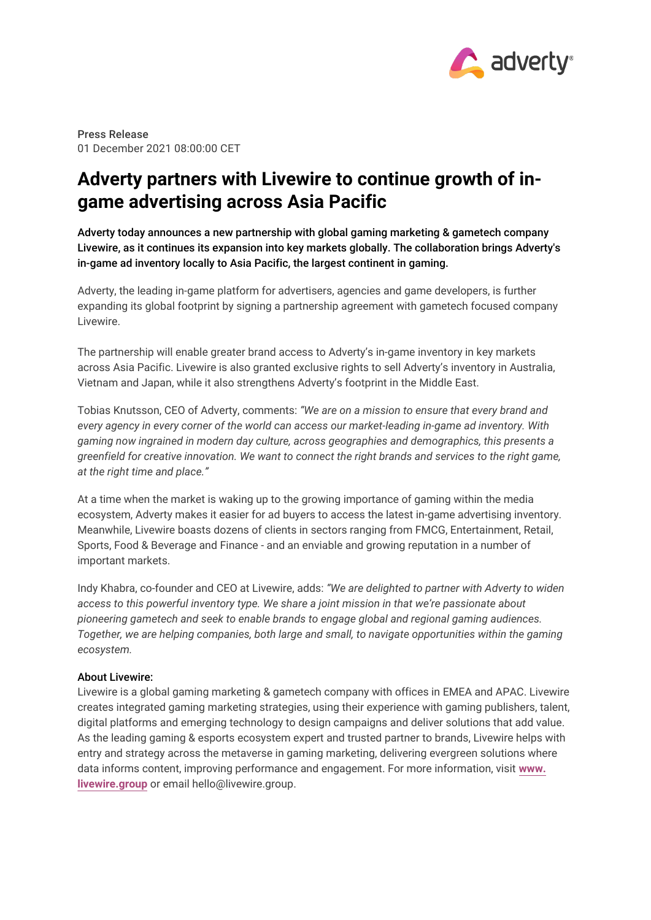

Press Release 01 December 2021 08:00:00 CET

# **Adverty partners with Livewire to continue growth of ingame advertising across Asia Pacific**

Adverty today announces a new partnership with global gaming marketing & gametech company Livewire, as it continues its expansion into key markets globally. The collaboration brings Adverty's in-game ad inventory locally to Asia Pacific, the largest continent in gaming.

Adverty, the leading in-game platform for advertisers, agencies and game developers, is further expanding its global footprint by signing a partnership agreement with gametech focused company Livewire.

The partnership will enable greater brand access to Adverty's in-game inventory in key markets across Asia Pacific. Livewire is also granted exclusive rights to sell Adverty's inventory in Australia, Vietnam and Japan, while it also strengthens Adverty's footprint in the Middle East.

Tobias Knutsson, CEO of Adverty, comments: *"We are on a mission to ensure that every brand and every agency in every corner of the world can access our market-leading in-game ad inventory. With gaming now ingrained in modern day culture, across geographies and demographics, this presents a greenfield for creative innovation. We want to connect the right brands and services to the right game, at the right time and place."*

At a time when the market is waking up to the growing importance of gaming within the media ecosystem, Adverty makes it easier for ad buyers to access the latest in-game advertising inventory. Meanwhile, Livewire boasts dozens of clients in sectors ranging from FMCG, Entertainment, Retail, Sports, Food & Beverage and Finance - and an enviable and growing reputation in a number of important markets.

Indy Khabra, co-founder and CEO at Livewire, adds: *"We are delighted to partner with Adverty to widen access to this powerful inventory type. We share a joint mission in that we're passionate about pioneering gametech and seek to enable brands to engage global and regional gaming audiences. Together, we are helping companies, both large and small, to navigate opportunities within the gaming ecosystem.*

## About Livewire:

Livewire is a global gaming marketing & gametech company with offices in EMEA and APAC. Livewire creates integrated gaming marketing strategies, using their experience with gaming publishers, talent, digital platforms and emerging technology to design campaigns and deliver solutions that add value. As the leading gaming & esports ecosystem expert and trusted partner to brands, Livewire helps with entry and strategy across the metaverse in gaming marketing, delivering evergreen solutions where data informs content, improving performance and engagement. For more information, visit **[www.](https://livewire.group/) [livewire.group](https://livewire.group/)** or email hello@livewire.group.